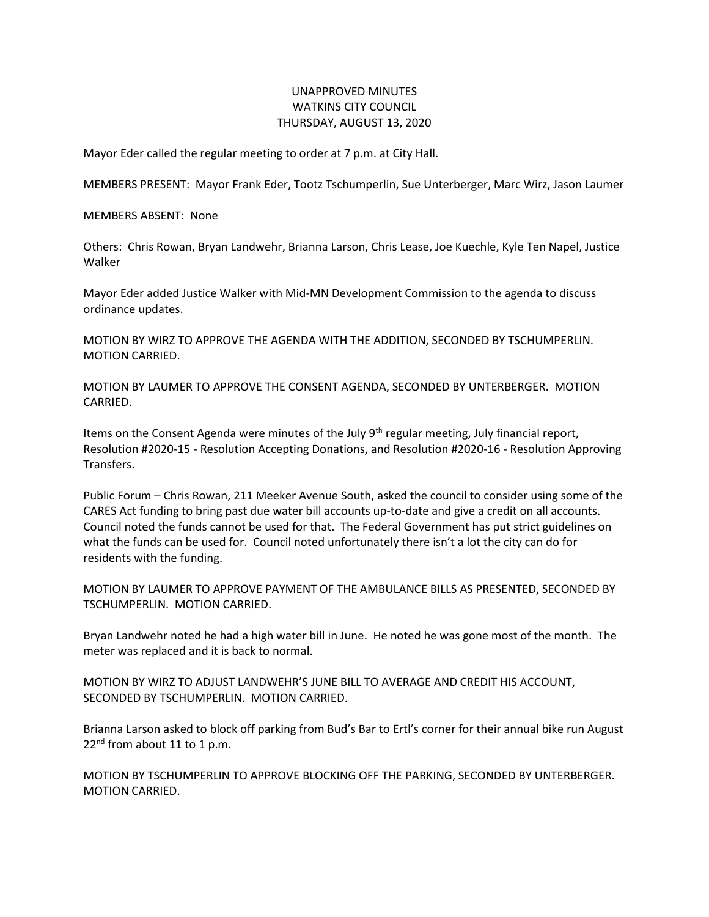## UNAPPROVED MINUTES WATKINS CITY COUNCIL THURSDAY, AUGUST 13, 2020

Mayor Eder called the regular meeting to order at 7 p.m. at City Hall.

MEMBERS PRESENT: Mayor Frank Eder, Tootz Tschumperlin, Sue Unterberger, Marc Wirz, Jason Laumer

MEMBERS ABSENT: None

Others: Chris Rowan, Bryan Landwehr, Brianna Larson, Chris Lease, Joe Kuechle, Kyle Ten Napel, Justice Walker

Mayor Eder added Justice Walker with Mid-MN Development Commission to the agenda to discuss ordinance updates.

MOTION BY WIRZ TO APPROVE THE AGENDA WITH THE ADDITION, SECONDED BY TSCHUMPERLIN. MOTION CARRIED.

MOTION BY LAUMER TO APPROVE THE CONSENT AGENDA, SECONDED BY UNTERBERGER. MOTION CARRIED.

Items on the Consent Agenda were minutes of the July  $9<sup>th</sup>$  regular meeting, July financial report, Resolution #2020-15 - Resolution Accepting Donations, and Resolution #2020-16 - Resolution Approving Transfers.

Public Forum – Chris Rowan, 211 Meeker Avenue South, asked the council to consider using some of the CARES Act funding to bring past due water bill accounts up-to-date and give a credit on all accounts. Council noted the funds cannot be used for that. The Federal Government has put strict guidelines on what the funds can be used for. Council noted unfortunately there isn't a lot the city can do for residents with the funding.

MOTION BY LAUMER TO APPROVE PAYMENT OF THE AMBULANCE BILLS AS PRESENTED, SECONDED BY TSCHUMPERLIN. MOTION CARRIED.

Bryan Landwehr noted he had a high water bill in June. He noted he was gone most of the month. The meter was replaced and it is back to normal.

MOTION BY WIRZ TO ADJUST LANDWEHR'S JUNE BILL TO AVERAGE AND CREDIT HIS ACCOUNT, SECONDED BY TSCHUMPERLIN. MOTION CARRIED.

Brianna Larson asked to block off parking from Bud's Bar to Ertl's corner for their annual bike run August 22<sup>nd</sup> from about 11 to 1 p.m.

MOTION BY TSCHUMPERLIN TO APPROVE BLOCKING OFF THE PARKING, SECONDED BY UNTERBERGER. MOTION CARRIED.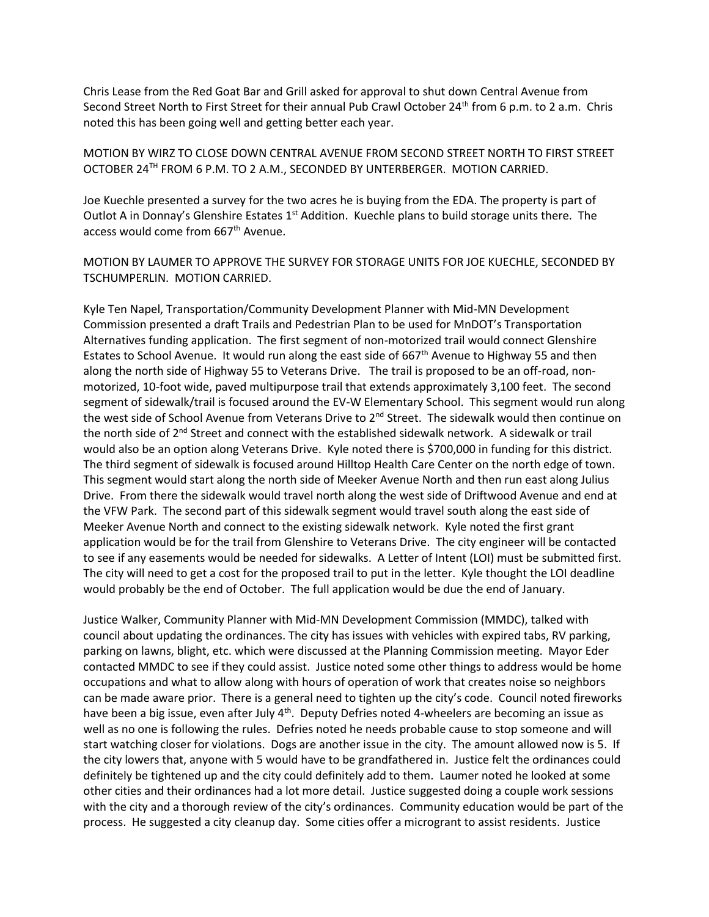Chris Lease from the Red Goat Bar and Grill asked for approval to shut down Central Avenue from Second Street North to First Street for their annual Pub Crawl October 24<sup>th</sup> from 6 p.m. to 2 a.m. Chris noted this has been going well and getting better each year.

MOTION BY WIRZ TO CLOSE DOWN CENTRAL AVENUE FROM SECOND STREET NORTH TO FIRST STREET OCTOBER 24TH FROM 6 P.M. TO 2 A.M., SECONDED BY UNTERBERGER. MOTION CARRIED.

Joe Kuechle presented a survey for the two acres he is buying from the EDA. The property is part of Outlot A in Donnay's Glenshire Estates  $1<sup>st</sup>$  Addition. Kuechle plans to build storage units there. The access would come from 667<sup>th</sup> Avenue.

MOTION BY LAUMER TO APPROVE THE SURVEY FOR STORAGE UNITS FOR JOE KUECHLE, SECONDED BY TSCHUMPERLIN. MOTION CARRIED.

Kyle Ten Napel, Transportation/Community Development Planner with Mid-MN Development Commission presented a draft Trails and Pedestrian Plan to be used for MnDOT's Transportation Alternatives funding application. The first segment of non-motorized trail would connect Glenshire Estates to School Avenue. It would run along the east side of  $667<sup>th</sup>$  Avenue to Highway 55 and then along the north side of Highway 55 to Veterans Drive. The trail is proposed to be an off-road, nonmotorized, 10-foot wide, paved multipurpose trail that extends approximately 3,100 feet. The second segment of sidewalk/trail is focused around the EV-W Elementary School. This segment would run along the west side of School Avenue from Veterans Drive to  $2<sup>nd</sup>$  Street. The sidewalk would then continue on the north side of 2<sup>nd</sup> Street and connect with the established sidewalk network. A sidewalk or trail would also be an option along Veterans Drive. Kyle noted there is \$700,000 in funding for this district. The third segment of sidewalk is focused around Hilltop Health Care Center on the north edge of town. This segment would start along the north side of Meeker Avenue North and then run east along Julius Drive. From there the sidewalk would travel north along the west side of Driftwood Avenue and end at the VFW Park. The second part of this sidewalk segment would travel south along the east side of Meeker Avenue North and connect to the existing sidewalk network. Kyle noted the first grant application would be for the trail from Glenshire to Veterans Drive. The city engineer will be contacted to see if any easements would be needed for sidewalks. A Letter of Intent (LOI) must be submitted first. The city will need to get a cost for the proposed trail to put in the letter. Kyle thought the LOI deadline would probably be the end of October. The full application would be due the end of January.

Justice Walker, Community Planner with Mid-MN Development Commission (MMDC), talked with council about updating the ordinances. The city has issues with vehicles with expired tabs, RV parking, parking on lawns, blight, etc. which were discussed at the Planning Commission meeting. Mayor Eder contacted MMDC to see if they could assist. Justice noted some other things to address would be home occupations and what to allow along with hours of operation of work that creates noise so neighbors can be made aware prior. There is a general need to tighten up the city's code. Council noted fireworks have been a big issue, even after July 4<sup>th</sup>. Deputy Defries noted 4-wheelers are becoming an issue as well as no one is following the rules. Defries noted he needs probable cause to stop someone and will start watching closer for violations. Dogs are another issue in the city. The amount allowed now is 5. If the city lowers that, anyone with 5 would have to be grandfathered in. Justice felt the ordinances could definitely be tightened up and the city could definitely add to them. Laumer noted he looked at some other cities and their ordinances had a lot more detail. Justice suggested doing a couple work sessions with the city and a thorough review of the city's ordinances. Community education would be part of the process. He suggested a city cleanup day. Some cities offer a microgrant to assist residents. Justice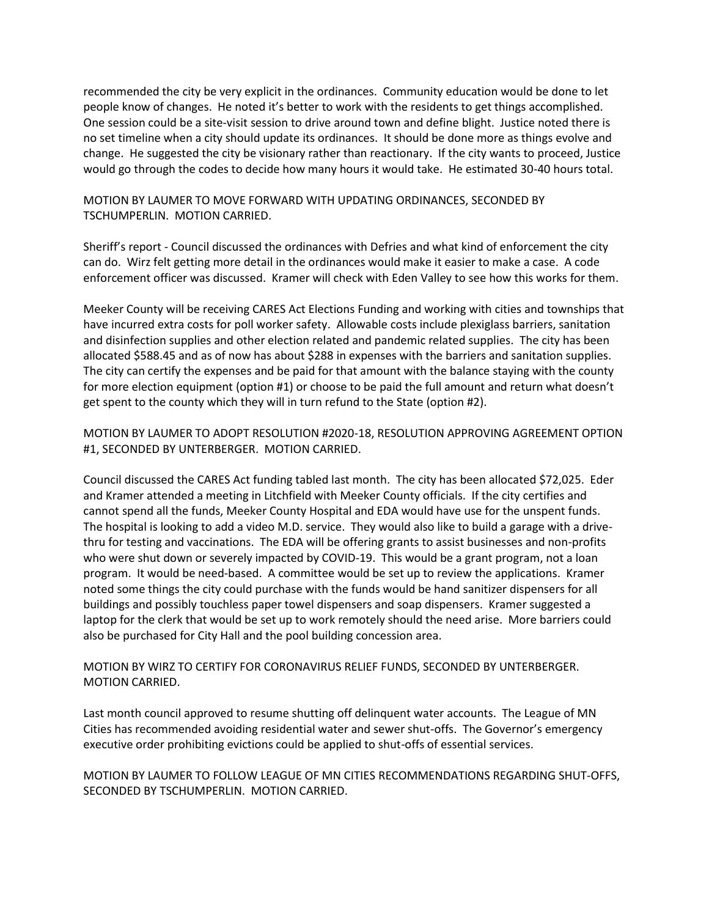recommended the city be very explicit in the ordinances. Community education would be done to let people know of changes. He noted it's better to work with the residents to get things accomplished. One session could be a site-visit session to drive around town and define blight. Justice noted there is no set timeline when a city should update its ordinances. It should be done more as things evolve and change. He suggested the city be visionary rather than reactionary. If the city wants to proceed, Justice would go through the codes to decide how many hours it would take. He estimated 30-40 hours total.

## MOTION BY LAUMER TO MOVE FORWARD WITH UPDATING ORDINANCES, SECONDED BY TSCHUMPERLIN. MOTION CARRIED.

Sheriff's report - Council discussed the ordinances with Defries and what kind of enforcement the city can do. Wirz felt getting more detail in the ordinances would make it easier to make a case. A code enforcement officer was discussed. Kramer will check with Eden Valley to see how this works for them.

Meeker County will be receiving CARES Act Elections Funding and working with cities and townships that have incurred extra costs for poll worker safety. Allowable costs include plexiglass barriers, sanitation and disinfection supplies and other election related and pandemic related supplies. The city has been allocated \$588.45 and as of now has about \$288 in expenses with the barriers and sanitation supplies. The city can certify the expenses and be paid for that amount with the balance staying with the county for more election equipment (option #1) or choose to be paid the full amount and return what doesn't get spent to the county which they will in turn refund to the State (option #2).

MOTION BY LAUMER TO ADOPT RESOLUTION #2020-18, RESOLUTION APPROVING AGREEMENT OPTION #1, SECONDED BY UNTERBERGER. MOTION CARRIED.

Council discussed the CARES Act funding tabled last month. The city has been allocated \$72,025. Eder and Kramer attended a meeting in Litchfield with Meeker County officials. If the city certifies and cannot spend all the funds, Meeker County Hospital and EDA would have use for the unspent funds. The hospital is looking to add a video M.D. service. They would also like to build a garage with a drivethru for testing and vaccinations. The EDA will be offering grants to assist businesses and non-profits who were shut down or severely impacted by COVID-19. This would be a grant program, not a loan program. It would be need-based. A committee would be set up to review the applications. Kramer noted some things the city could purchase with the funds would be hand sanitizer dispensers for all buildings and possibly touchless paper towel dispensers and soap dispensers. Kramer suggested a laptop for the clerk that would be set up to work remotely should the need arise. More barriers could also be purchased for City Hall and the pool building concession area.

## MOTION BY WIRZ TO CERTIFY FOR CORONAVIRUS RELIEF FUNDS, SECONDED BY UNTERBERGER. MOTION CARRIED.

Last month council approved to resume shutting off delinquent water accounts. The League of MN Cities has recommended avoiding residential water and sewer shut-offs. The Governor's emergency executive order prohibiting evictions could be applied to shut-offs of essential services.

MOTION BY LAUMER TO FOLLOW LEAGUE OF MN CITIES RECOMMENDATIONS REGARDING SHUT-OFFS, SECONDED BY TSCHUMPERLIN. MOTION CARRIED.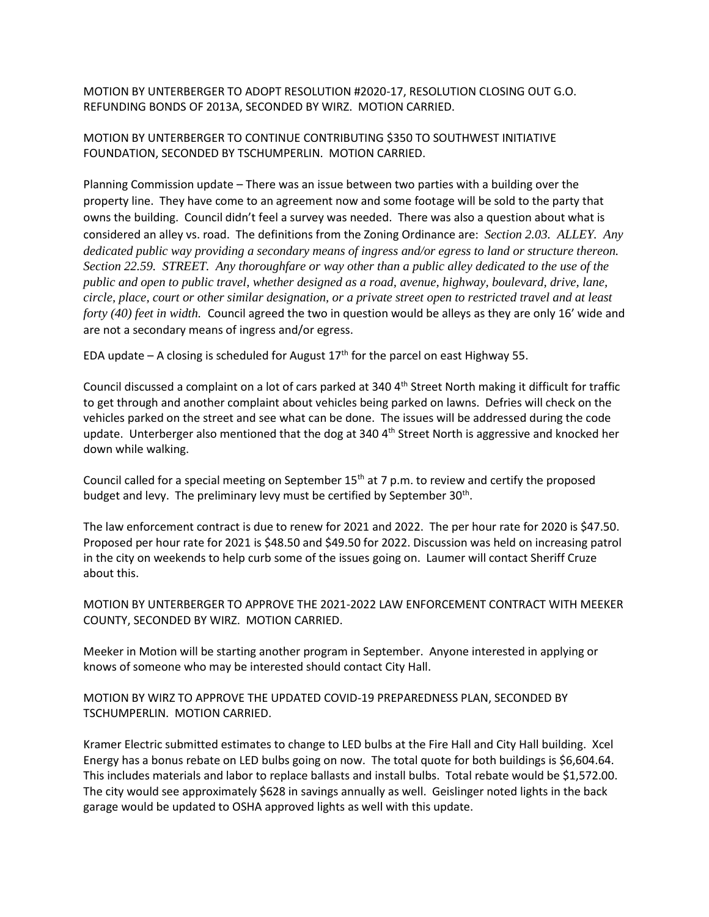MOTION BY UNTERBERGER TO ADOPT RESOLUTION #2020-17, RESOLUTION CLOSING OUT G.O. REFUNDING BONDS OF 2013A, SECONDED BY WIRZ. MOTION CARRIED.

MOTION BY UNTERBERGER TO CONTINUE CONTRIBUTING \$350 TO SOUTHWEST INITIATIVE FOUNDATION, SECONDED BY TSCHUMPERLIN. MOTION CARRIED.

Planning Commission update – There was an issue between two parties with a building over the property line. They have come to an agreement now and some footage will be sold to the party that owns the building. Council didn't feel a survey was needed. There was also a question about what is considered an alley vs. road. The definitions from the Zoning Ordinance are: *Section 2.03. ALLEY. Any dedicated public way providing a secondary means of ingress and/or egress to land or structure thereon. Section 22.59. STREET. Any thoroughfare or way other than a public alley dedicated to the use of the public and open to public travel, whether designed as a road, avenue, highway, boulevard, drive, lane, circle, place, court or other similar designation, or a private street open to restricted travel and at least forty (40) feet in width.* Council agreed the two in question would be alleys as they are only 16' wide and are not a secondary means of ingress and/or egress.

EDA update – A closing is scheduled for August  $17<sup>th</sup>$  for the parcel on east Highway 55.

Council discussed a complaint on a lot of cars parked at  $340\,4^{\text{th}}$  Street North making it difficult for traffic to get through and another complaint about vehicles being parked on lawns. Defries will check on the vehicles parked on the street and see what can be done. The issues will be addressed during the code update. Unterberger also mentioned that the dog at 340 4<sup>th</sup> Street North is aggressive and knocked her down while walking.

Council called for a special meeting on September 15<sup>th</sup> at 7 p.m. to review and certify the proposed budget and levy. The preliminary levy must be certified by September 30<sup>th</sup>.

The law enforcement contract is due to renew for 2021 and 2022. The per hour rate for 2020 is \$47.50. Proposed per hour rate for 2021 is \$48.50 and \$49.50 for 2022. Discussion was held on increasing patrol in the city on weekends to help curb some of the issues going on. Laumer will contact Sheriff Cruze about this.

MOTION BY UNTERBERGER TO APPROVE THE 2021-2022 LAW ENFORCEMENT CONTRACT WITH MEEKER COUNTY, SECONDED BY WIRZ. MOTION CARRIED.

Meeker in Motion will be starting another program in September. Anyone interested in applying or knows of someone who may be interested should contact City Hall.

## MOTION BY WIRZ TO APPROVE THE UPDATED COVID-19 PREPAREDNESS PLAN, SECONDED BY TSCHUMPERLIN. MOTION CARRIED.

Kramer Electric submitted estimates to change to LED bulbs at the Fire Hall and City Hall building. Xcel Energy has a bonus rebate on LED bulbs going on now. The total quote for both buildings is \$6,604.64. This includes materials and labor to replace ballasts and install bulbs. Total rebate would be \$1,572.00. The city would see approximately \$628 in savings annually as well. Geislinger noted lights in the back garage would be updated to OSHA approved lights as well with this update.